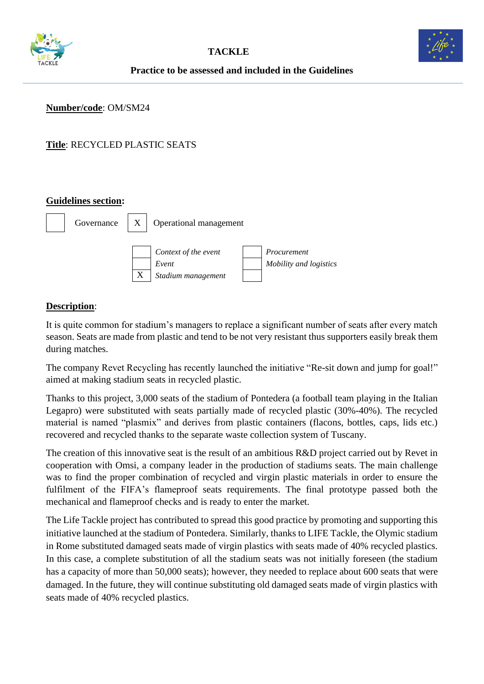



## **Practice to be assessed and included in the Guidelines**

#### **Number/code**: OM/SM24

# **Title**: RECYCLED PLASTIC SEATS

### **Guidelines section:**



### **Description**:

It is quite common for stadium's managers to replace a significant number of seats after every match season. Seats are made from plastic and tend to be not very resistant thus supporters easily break them during matches.

The company Revet Recycling has recently launched the initiative "Re-sit down and jump for goal!" aimed at making stadium seats in recycled plastic.

Thanks to this project, 3,000 seats of the stadium of Pontedera (a football team playing in the Italian Legapro) were substituted with seats partially made of recycled plastic (30%-40%). The recycled material is named "plasmix" and derives from plastic containers (flacons, bottles, caps, lids etc.) recovered and recycled thanks to the separate waste collection system of Tuscany.

The creation of this innovative seat is the result of an ambitious R&D project carried out by Revet in cooperation with Omsi, a company leader in the production of stadiums seats. The main challenge was to find the proper combination of recycled and virgin plastic materials in order to ensure the fulfilment of the FIFA's flameproof seats requirements. The final prototype passed both the mechanical and flameproof checks and is ready to enter the market.

The Life Tackle project has contributed to spread this good practice by promoting and supporting this initiative launched at the stadium of Pontedera. Similarly, thanks to LIFE Tackle, the Olymic stadium in Rome substituted damaged seats made of virgin plastics with seats made of 40% recycled plastics. In this case, a complete substitution of all the stadium seats was not initially foreseen (the stadium has a capacity of more than 50,000 seats); however, they needed to replace about 600 seats that were damaged. In the future, they will continue substituting old damaged seats made of virgin plastics with seats made of 40% recycled plastics.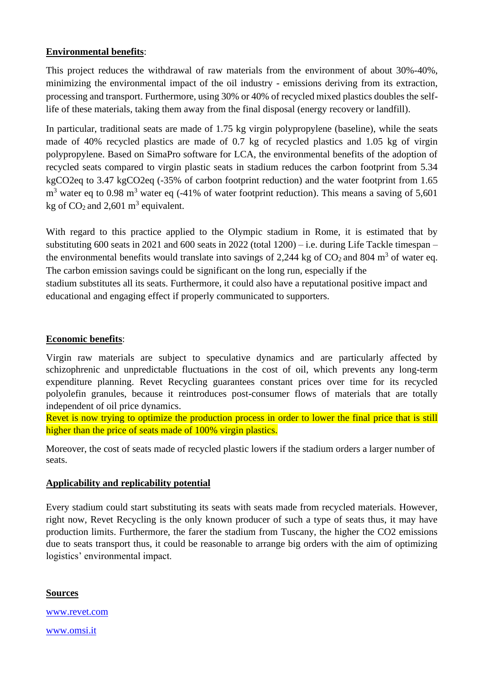## **Environmental benefits**:

This project reduces the withdrawal of raw materials from the environment of about 30%-40%, minimizing the environmental impact of the oil industry - emissions deriving from its extraction, processing and transport. Furthermore, using 30% or 40% of recycled mixed plastics doubles the selflife of these materials, taking them away from the final disposal (energy recovery or landfill).

In particular, traditional seats are made of 1.75 kg virgin polypropylene (baseline), while the seats made of 40% recycled plastics are made of 0.7 kg of recycled plastics and 1.05 kg of virgin polypropylene. Based on SimaPro software for LCA, the environmental benefits of the adoption of recycled seats compared to virgin plastic seats in stadium reduces the carbon footprint from 5.34 kgCO2eq to 3.47 kgCO2eq (-35% of carbon footprint reduction) and the water footprint from 1.65  $m<sup>3</sup>$  water eq to 0.98 m<sup>3</sup> water eq (-41% of water footprint reduction). This means a saving of 5,601 kg of  $CO_2$  and 2,601 m<sup>3</sup> equivalent.

With regard to this practice applied to the Olympic stadium in Rome, it is estimated that by substituting 600 seats in 2021 and 600 seats in 2022 (total  $1200$ ) – i.e. during Life Tackle timespan – the environmental benefits would translate into savings of 2,244 kg of  $CO_2$  and 804 m<sup>3</sup> of water eq. The carbon emission savings could be significant on the long run, especially if the stadium substitutes all its seats. Furthermore, it could also have a reputational positive impact and educational and engaging effect if properly communicated to supporters.

### **Economic benefits**:

Virgin raw materials are subject to speculative dynamics and are particularly affected by schizophrenic and unpredictable fluctuations in the cost of oil, which prevents any long-term expenditure planning. Revet Recycling guarantees constant prices over time for its recycled polyolefin granules, because it reintroduces post-consumer flows of materials that are totally independent of oil price dynamics.

Revet is now trying to optimize the production process in order to lower the final price that is still higher than the price of seats made of 100% virgin plastics.

Moreover, the cost of seats made of recycled plastic lowers if the stadium orders a larger number of seats.

### **Applicability and replicability potential**

Every stadium could start substituting its seats with seats made from recycled materials. However, right now, Revet Recycling is the only known producer of such a type of seats thus, it may have production limits. Furthermore, the farer the stadium from Tuscany, the higher the CO2 emissions due to seats transport thus, it could be reasonable to arrange big orders with the aim of optimizing logistics' environmental impact.

**Sources** [www.revet.com](http://www.revet.com/) [www.omsi.it](http://www.omsi.it/)